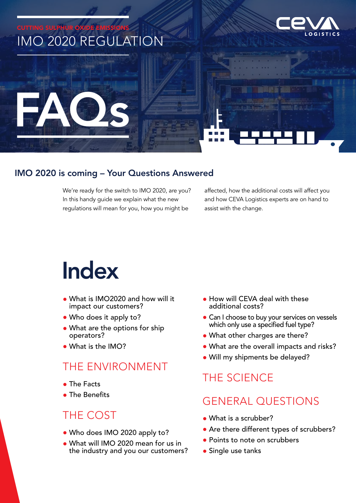

### IMO 2020 is coming – Your Questions Answered

We're ready for the switch to IMO 2020, are you? In this handy guide we explain what the new regulations will mean for you, how you might be

affected, how the additional costs will affect you and how CEVA Logistics experts are on hand to assist with the change.

## Index

- What is IMO2020 and how will it impact our customers?
- Who does it apply to?
- What are the options for ship operators?
- What is the IMO?

### THE ENVIRONMENT

- The Facts
- The Benefits

### THE COST

- Who does IMO 2020 apply to?
- What will IMO 2020 mean for us in the industry and you our customers?
- How will CEVA deal with these additional costs?
- Can I choose to buy your services on vessels which only use a specified fuel type?
- What other charges are there?
- What are the overall impacts and risks?
- Will my shipments be delayed?

### THE SCIENCE

### GENERAL QUESTIONS

- What is a scrubber?
- Are there different types of scrubbers?
- Points to note on scrubbers
- Single use tanks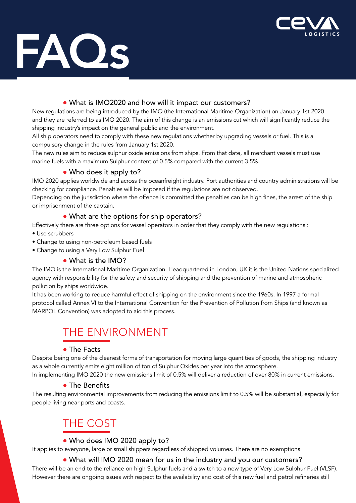

# FAQs

### • What is IMO2020 and how will it impact our customers?

New regulations are being introduced by the IMO (the International Maritime Organization) on January 1st 2020 and they are referred to as IMO 2020. The aim of this change is an emissions cut which will significantly reduce the shipping industry's impact on the general public and the environment.

All ship operators need to comply with these new regulations whether by upgrading vessels or fuel. This is a compulsory change in the rules from January 1st 2020.

The new rules aim to reduce sulphur oxide emissions from ships. From that date, all merchant vessels must use marine fuels with a maximum Sulphur content of 0.5% compared with the current 3.5%.

### • Who does it apply to?

IMO 2020 applies worldwide and across the oceanfreight industry. Port authorities and country administrations will be checking for compliance. Penalties will be imposed if the regulations are not observed.

Depending on the jurisdiction where the offence is committed the penalties can be high fines, the arrest of the ship or imprisonment of the captain.

### • What are the options for ship operators?

Effectively there are three options for vessel operators in order that they comply with the new regulations :

- Use scrubbers
- Change to using non-petroleum based fuels
- Change to using a Very Low Sulphur Fuel

### • What is the IMO?

The IMO is the International Maritime Organization. Headquartered in London, UK it is the United Nations specialized agency with responsibility for the safety and security of shipping and the prevention of marine and atmospheric pollution by ships worldwide.

It has been working to reduce harmful effect of shipping on the environment since the 1960s. In 1997 a formal protocol called Annex VI to the International Convention for the Prevention of Pollution from Ships (and known as MARPOL Convention) was adopted to aid this process.

## THE ENVIRONMENT

### • The Facts

Despite being one of the cleanest forms of transportation for moving large quantities of goods, the shipping industry as a whole currently emits eight million of ton of Sulphur Oxides per year into the atmosphere.

In implementing IMO 2020 the new emissions limit of 0.5% will deliver a reduction of over 80% in current emissions.

### • The Benefits

The resulting environmental improvements from reducing the emissions limit to 0.5% will be substantial, especially for people living near ports and coasts.

## THE COST

### • Who does IMO 2020 apply to?

It applies to everyone, large or small shippers regardless of shipped volumes. There are no exemptions

### • What will IMO 2020 mean for us in the industry and you our customers?

There will be an end to the reliance on high Sulphur fuels and a switch to a new type of Very Low Sulphur Fuel (VLSF). However there are ongoing issues with respect to the availability and cost of this new fuel and petrol refineries still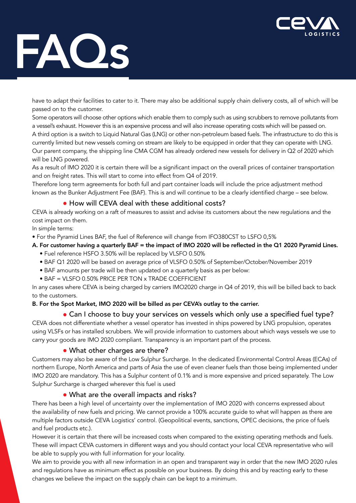

## FAQs

have to adapt their facilities to cater to it. There may also be additional supply chain delivery costs, all of which will be passed on to the customer.

Some operators will choose other options which enable them to comply such as using scrubbers to remove pollutants from a vessel's exhaust. However this is an expensive process and will also increase operating costs which will be passed on. A third option is a switch to Liquid Natural Gas (LNG) or other non-petroleum based fuels. The infrastructure to do this is currently limited but new vessels coming on stream are likely to be equipped in order that they can operate with LNG. Our parent company, the shipping line CMA CGM has already ordered new vessels for delivery in Q2 of 2020 which will be LNG powered.

As a result of IMO 2020 it is certain there will be a significant impact on the overall prices of container transportation and on freight rates. This will start to come into effect from Q4 of 2019.

Therefore long term agreements for both full and part container loads will include the price adjustment method known as the Bunker Adjustment Fee (BAF). This is and will continue to be a clearly identified charge – see below.

### • How will CEVA deal with these additional costs?

CEVA is already working on a raft of measures to assist and advise its customers about the new regulations and the cost impact on them.

In simple terms:

• For the Pyramid Lines BAF, the fuel of Reference will change from IFO380CST to LSFO 0,5%

#### A. For customer having a quarterly BAF = the impact of IMO 2020 will be reflected in the Q1 2020 Pyramid Lines.

- Fuel reference HSFO 3.50% will be replaced by VLSFO 0.50%
- BAF Q1 2020 will be based on average price of VLSFO 0.50% of September/October/November 2019
- BAF amounts per trade will be then updated on a quarterly basis as per below:
- BAF = VLSFO 0.50% PRICE PER TON x TRADE COEFFICIENT

In any cases where CEVA is being charged by carriers IMO2020 charge in Q4 of 2019, this will be billed back to back to the customers.

#### B. For the Spot Market, IMO 2020 will be billed as per CEVA's outlay to the carrier.

#### • Can I choose to buy your services on vessels which only use a specified fuel type?

CEVA does not differentiate whether a vessel operator has invested in ships powered by LNG propulsion, operates using VLSFs or has installed scrubbers. We will provide information to customers about which ways vessels we use to carry your goods are IMO 2020 compliant. Transparency is an important part of the process.

### • What other charges are there?

Customers may also be aware of the Low Sulphur Surcharge. In the dedicated Environmental Control Areas (ECAs) of northern Europe, North America and parts of Asia the use of even cleaner fuels than those being implemented under IMO 2020 are mandatory. This has a Sulphur content of 0.1% and is more expensive and priced separately. The Low Sulphur Surcharge is charged wherever this fuel is used

### • What are the overall impacts and risks?

There has been a high level of uncertainty over the implementation of IMO 2020 with concerns expressed about the availability of new fuels and pricing. We cannot provide a 100% accurate guide to what will happen as there are multiple factors outside CEVA Logistics' control. (Geopolitical events, sanctions, OPEC decisions, the price of fuels and fuel products etc.).

However it is certain that there will be increased costs when compared to the existing operating methods and fuels. These will impact CEVA customers in different ways and you should contact your local CEVA representative who will be able to supply you with full information for your locality.

We aim to provide you with all new information in an open and transparent way in order that the new IMO 2020 rules and regulations have as minimum effect as possible on your business. By doing this and by reacting early to these changes we believe the impact on the supply chain can be kept to a minimum.